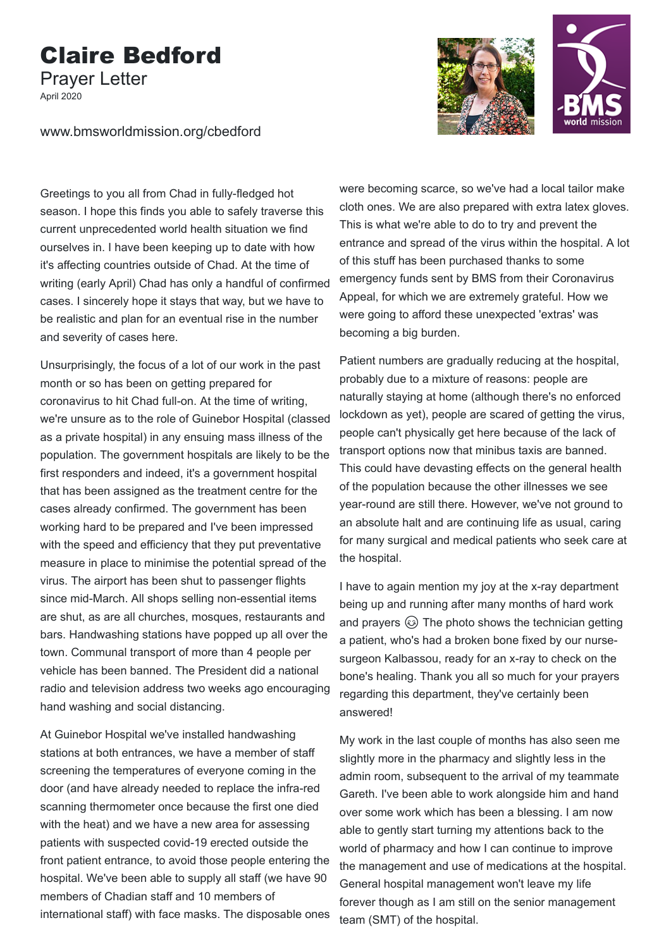## Claire Bedford

Prayer Letter

April 2020



www.bmsworldmission.org/cbedford

Greetings to you all from Chad in fully-fledged hot season. I hope this finds you able to safely traverse this current unprecedented world health situation we find ourselves in. I have been keeping up to date with how it's affecting countries outside of Chad. At the time of writing (early April) Chad has only a handful of confirmed cases. I sincerely hope it stays that way, but we have to be realistic and plan for an eventual rise in the number and severity of cases here.

Unsurprisingly, the focus of a lot of our work in the past month or so has been on getting prepared for coronavirus to hit Chad full-on. At the time of writing, we're unsure as to the role of Guinebor Hospital (classed as a private hospital) in any ensuing mass illness of the population. The government hospitals are likely to be the first responders and indeed, it's a government hospital that has been assigned as the treatment centre for the cases already confirmed. The government has been working hard to be prepared and I've been impressed with the speed and efficiency that they put preventative measure in place to minimise the potential spread of the virus. The airport has been shut to passenger flights since mid-March. All shops selling non-essential items are shut, as are all churches, mosques, restaurants and bars. Handwashing stations have popped up all over the town. Communal transport of more than 4 people per vehicle has been banned. The President did a national radio and television address two weeks ago encouraging hand washing and social distancing.

At Guinebor Hospital we've installed handwashing stations at both entrances, we have a member of staff screening the temperatures of everyone coming in the door (and have already needed to replace the infra-red scanning thermometer once because the first one died with the heat) and we have a new area for assessing patients with suspected covid-19 erected outside the front patient entrance, to avoid those people entering the hospital. We've been able to supply all staff (we have 90 members of Chadian staff and 10 members of international staff) with face masks. The disposable ones

were becoming scarce, so we've had a local tailor make cloth ones. We are also prepared with extra latex gloves. This is what we're able to do to try and prevent the entrance and spread of the virus within the hospital. A lot of this stuff has been purchased thanks to some emergency funds sent by BMS from their Coronavirus Appeal, for which we are extremely grateful. How we were going to afford these unexpected 'extras' was becoming a big burden.

Patient numbers are gradually reducing at the hospital, probably due to a mixture of reasons: people are naturally staying at home (although there's no enforced lockdown as yet), people are scared of getting the virus, people can't physically get here because of the lack of transport options now that minibus taxis are banned. This could have devasting effects on the general health of the population because the other illnesses we see year-round are still there. However, we've not ground to an absolute halt and are continuing life as usual, caring for many surgical and medical patients who seek care at the hospital.

I have to again mention my joy at the x-ray department being up and running after many months of hard work and prayers  $\circled{a}$  The photo shows the technician getting a patient, who's had a broken bone fixed by our nursesurgeon Kalbassou, ready for an x-ray to check on the bone's healing. Thank you all so much for your prayers regarding this department, they've certainly been answered!

My work in the last couple of months has also seen me slightly more in the pharmacy and slightly less in the admin room, subsequent to the arrival of my teammate Gareth. I've been able to work alongside him and hand over some work which has been a blessing. I am now able to gently start turning my attentions back to the world of pharmacy and how I can continue to improve the management and use of medications at the hospital. General hospital management won't leave my life forever though as I am still on the senior management team (SMT) of the hospital.